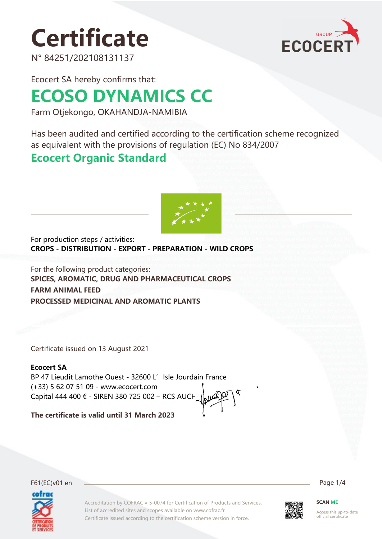# **Certificate**



N° 84251/202108131137

Ecocert SA hereby confirms that:

# **ECOSO DYNAMICS CC**

Farm Otjekongo, OKAHANDJA-NAMIBIA

Has been audited and certified according to the certification scheme recognized as equivalent with the provisions of regulation (EC) No 834/2007

## **Ecocert Organic Standard**



For production steps / activities: **CROPS - DISTRIBUTION - EXPORT - PREPARATION - WILD CROPS**

For the following product categories: **SPICES, AROMATIC, DRUG AND PHARMACEUTICAL CROPS FARM ANIMAL FEED PROCESSED MEDICINAL AND AROMATIC PLANTS**

Certificate issued on 13 August 2021

## **Ecocert SA**

BP 47 Lieudit Lamothe Ouest - 32600 L' Isle Jourdain France (+33) 5 62 07 51 09 - www.ecocert.com Capital 444 400 € - SIREN 380 725 002 – RCS AUCH

**The certificate is valid until 31 March 2023**



Accreditation by COFRAC # 5-0074 for Certification of Products and Services. List of accredited sites and scopes available on www.cofrac.fr Certificate issued according to the certification scheme version in force.



**SCAN ME**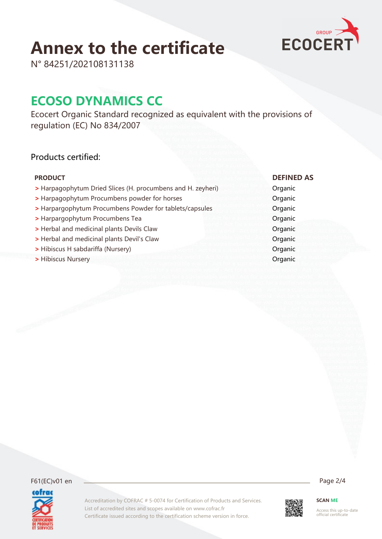# **Annex to the certificate**



N° 84251/202108131138

## **ECOSO DYNAMICS CC**

Ecocert Organic Standard recognized as equivalent with the provisions of regulation (EC) No 834/2007

## Products certified:

- **>** Harpagophytum Dried Slices (H. procumbens and H. zeyheri) Organic
- **>** Harpagophytum Procumbens powder for horses **Organic**
- **>** Harpargophytum Procumbens Powder for tablets/capsules Organic
- **>** Harpargophytum Procumbens Tea **Organic**
- **>** Herbal and medicinal plants Devils Claw Organic
- **>** Herbal and medicinal plants Devil's Claw Organic
- **>** Hibiscus H sabdariffa (Nursery) **Discussion Community Community** Organic
- **>** Hibiscus Nursery **Organic**

cofrac

#### **PRODUCT DEFINED AS**

F61(EC)v01 en Page 2/4

Accreditation by COFRAC # 5-0074 for Certification of Products and Services. List of accredited sites and scopes available on www.cofrac.fr Certificate issued according to the certification scheme version in force.

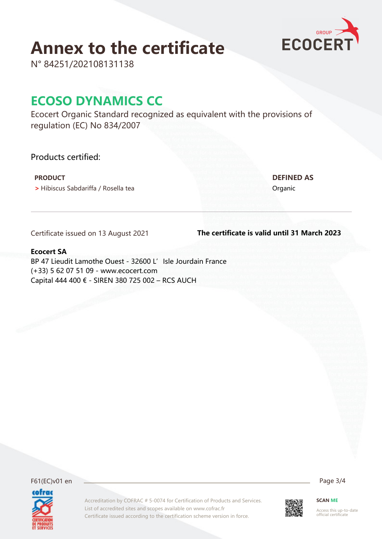## **Annex to the certificate**



N° 84251/202108131138

## **ECOSO DYNAMICS CC**

Ecocert Organic Standard recognized as equivalent with the provisions of regulation (EC) No 834/2007

Accreditation by COFRAC # 5-0074 for Certification of Products and Services.

Certificate issued according to the certification scheme version in force.

List of accredited sites and scopes available on www.cofrac.fr

Products certified:

**•** Hibiscus Sabdariffa / Rosella tea **Organic** Organic

 **PRODUCT DEFINED AS**

Certificate issued on 13 August 2021

#### **The certificate is valid until 31 March 2023**

#### **Ecocert SA**

BP 47 Lieudit Lamothe Ouest - 32600 L' Isle Jourdain France (+33) 5 62 07 51 09 - www.ecocert.com Capital 444 400 € - SIREN 380 725 002 – RCS AUCH

F61(EC)v01 en Page 3/4 cofrac



**SCAN ME**